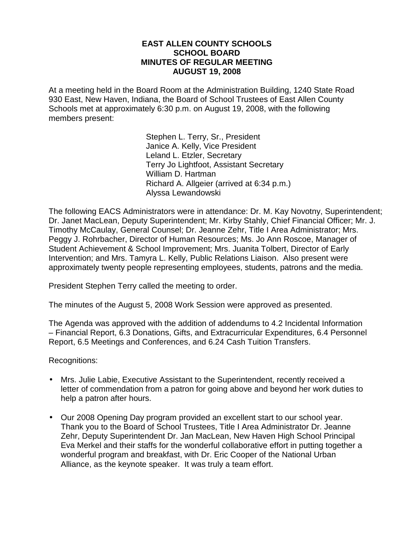### **EAST ALLEN COUNTY SCHOOLS SCHOOL BOARD MINUTES OF REGULAR MEETING AUGUST 19, 2008**

At a meeting held in the Board Room at the Administration Building, 1240 State Road 930 East, New Haven, Indiana, the Board of School Trustees of East Allen County Schools met at approximately 6:30 p.m. on August 19, 2008, with the following members present:

> Stephen L. Terry, Sr., President Janice A. Kelly, Vice President Leland L. Etzler, Secretary Terry Jo Lightfoot, Assistant Secretary William D. Hartman Richard A. Allgeier (arrived at 6:34 p.m.) Alyssa Lewandowski

The following EACS Administrators were in attendance: Dr. M. Kay Novotny, Superintendent; Dr. Janet MacLean, Deputy Superintendent; Mr. Kirby Stahly, Chief Financial Officer; Mr. J. Timothy McCaulay, General Counsel; Dr. Jeanne Zehr, Title I Area Administrator; Mrs. Peggy J. Rohrbacher, Director of Human Resources; Ms. Jo Ann Roscoe, Manager of Student Achievement & School Improvement; Mrs. Juanita Tolbert, Director of Early Intervention; and Mrs. Tamyra L. Kelly, Public Relations Liaison. Also present were approximately twenty people representing employees, students, patrons and the media.

President Stephen Terry called the meeting to order.

The minutes of the August 5, 2008 Work Session were approved as presented.

The Agenda was approved with the addition of addendums to 4.2 Incidental Information – Financial Report, 6.3 Donations, Gifts, and Extracurricular Expenditures, 6.4 Personnel Report, 6.5 Meetings and Conferences, and 6.24 Cash Tuition Transfers.

Recognitions:

- Mrs. Julie Labie, Executive Assistant to the Superintendent, recently received a letter of commendation from a patron for going above and beyond her work duties to help a patron after hours.
- Our 2008 Opening Day program provided an excellent start to our school year. Thank you to the Board of School Trustees, Title I Area Administrator Dr. Jeanne Zehr, Deputy Superintendent Dr. Jan MacLean, New Haven High School Principal Eva Merkel and their staffs for the wonderful collaborative effort in putting together a wonderful program and breakfast, with Dr. Eric Cooper of the National Urban Alliance, as the keynote speaker. It was truly a team effort.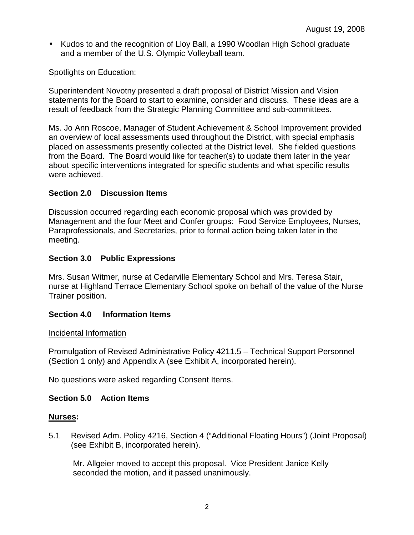• Kudos to and the recognition of Lloy Ball, a 1990 Woodlan High School graduate and a member of the U.S. Olympic Volleyball team.

Spotlights on Education:

Superintendent Novotny presented a draft proposal of District Mission and Vision statements for the Board to start to examine, consider and discuss. These ideas are a result of feedback from the Strategic Planning Committee and sub-committees.

Ms. Jo Ann Roscoe, Manager of Student Achievement & School Improvement provided an overview of local assessments used throughout the District, with special emphasis placed on assessments presently collected at the District level. She fielded questions from the Board. The Board would like for teacher(s) to update them later in the year about specific interventions integrated for specific students and what specific results were achieved.

# **Section 2.0 Discussion Items**

Discussion occurred regarding each economic proposal which was provided by Management and the four Meet and Confer groups: Food Service Employees, Nurses, Paraprofessionals, and Secretaries, prior to formal action being taken later in the meeting.

# **Section 3.0 Public Expressions**

Mrs. Susan Witmer, nurse at Cedarville Elementary School and Mrs. Teresa Stair, nurse at Highland Terrace Elementary School spoke on behalf of the value of the Nurse Trainer position.

# **Section 4.0 Information Items**

# Incidental Information

Promulgation of Revised Administrative Policy 4211.5 – Technical Support Personnel (Section 1 only) and Appendix A (see Exhibit A, incorporated herein).

No questions were asked regarding Consent Items.

# **Section 5.0 Action Items**

# **Nurses:**

5.1 Revised Adm. Policy 4216, Section 4 ("Additional Floating Hours") (Joint Proposal) (see Exhibit B, incorporated herein).

 Mr. Allgeier moved to accept this proposal. Vice President Janice Kelly seconded the motion, and it passed unanimously.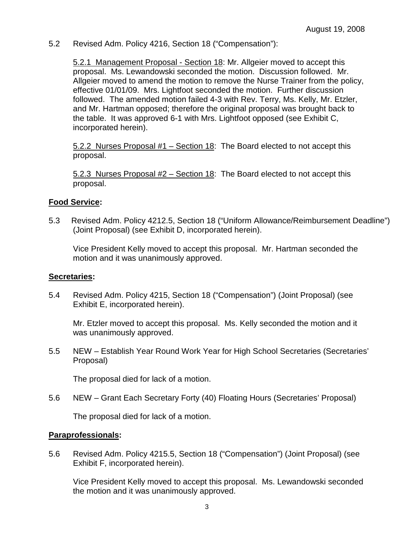5.2 Revised Adm. Policy 4216, Section 18 ("Compensation"):

 5.2.1 Management Proposal - Section 18: Mr. Allgeier moved to accept this proposal. Ms. Lewandowski seconded the motion. Discussion followed. Mr. Allgeier moved to amend the motion to remove the Nurse Trainer from the policy, effective 01/01/09. Mrs. Lightfoot seconded the motion. Further discussion followed. The amended motion failed 4-3 with Rev. Terry, Ms. Kelly, Mr. Etzler, and Mr. Hartman opposed; therefore the original proposal was brought back to the table. It was approved 6-1 with Mrs. Lightfoot opposed (see Exhibit C, incorporated herein).

 5.2.2 Nurses Proposal #1 – Section 18: The Board elected to not accept this proposal.

 5.2.3 Nurses Proposal #2 – Section 18: The Board elected to not accept this proposal.

### **Food Service:**

5.3 Revised Adm. Policy 4212.5, Section 18 ("Uniform Allowance/Reimbursement Deadline") (Joint Proposal) (see Exhibit D, incorporated herein).

Vice President Kelly moved to accept this proposal. Mr. Hartman seconded the motion and it was unanimously approved.

#### **Secretaries:**

5.4 Revised Adm. Policy 4215, Section 18 ("Compensation") (Joint Proposal) (see Exhibit E, incorporated herein).

Mr. Etzler moved to accept this proposal. Ms. Kelly seconded the motion and it was unanimously approved.

5.5 NEW – Establish Year Round Work Year for High School Secretaries (Secretaries' Proposal)

The proposal died for lack of a motion.

5.6 NEW – Grant Each Secretary Forty (40) Floating Hours (Secretaries' Proposal)

The proposal died for lack of a motion.

#### **Paraprofessionals:**

5.6 Revised Adm. Policy 4215.5, Section 18 ("Compensation") (Joint Proposal) (see Exhibit F, incorporated herein).

Vice President Kelly moved to accept this proposal. Ms. Lewandowski seconded the motion and it was unanimously approved.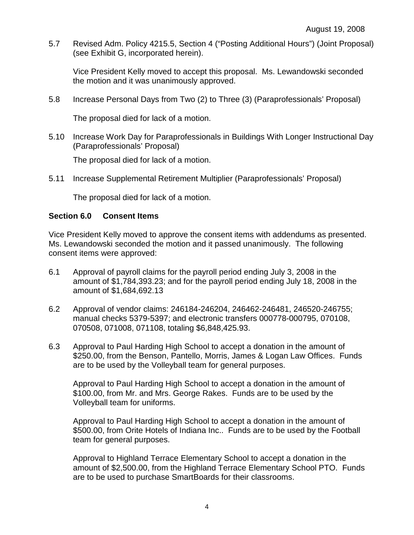5.7 Revised Adm. Policy 4215.5, Section 4 ("Posting Additional Hours") (Joint Proposal) (see Exhibit G, incorporated herein).

Vice President Kelly moved to accept this proposal. Ms. Lewandowski seconded the motion and it was unanimously approved.

5.8 Increase Personal Days from Two (2) to Three (3) (Paraprofessionals' Proposal)

The proposal died for lack of a motion.

5.10 Increase Work Day for Paraprofessionals in Buildings With Longer Instructional Day (Paraprofessionals' Proposal)

The proposal died for lack of a motion.

5.11 Increase Supplemental Retirement Multiplier (Paraprofessionals' Proposal)

The proposal died for lack of a motion.

### **Section 6.0 Consent Items**

Vice President Kelly moved to approve the consent items with addendums as presented. Ms. Lewandowski seconded the motion and it passed unanimously. The following consent items were approved:

- 6.1 Approval of payroll claims for the payroll period ending July 3, 2008 in the amount of \$1,784,393.23; and for the payroll period ending July 18, 2008 in the amount of \$1,684,692.13
- 6.2 Approval of vendor claims: 246184-246204, 246462-246481, 246520-246755; manual checks 5379-5397; and electronic transfers 000778-000795, 070108, 070508, 071008, 071108, totaling \$6,848,425.93.
- 6.3 Approval to Paul Harding High School to accept a donation in the amount of \$250.00, from the Benson, Pantello, Morris, James & Logan Law Offices. Funds are to be used by the Volleyball team for general purposes.

Approval to Paul Harding High School to accept a donation in the amount of \$100.00, from Mr. and Mrs. George Rakes. Funds are to be used by the Volleyball team for uniforms.

Approval to Paul Harding High School to accept a donation in the amount of \$500.00, from Orite Hotels of Indiana Inc.. Funds are to be used by the Football team for general purposes.

Approval to Highland Terrace Elementary School to accept a donation in the amount of \$2,500.00, from the Highland Terrace Elementary School PTO. Funds are to be used to purchase SmartBoards for their classrooms.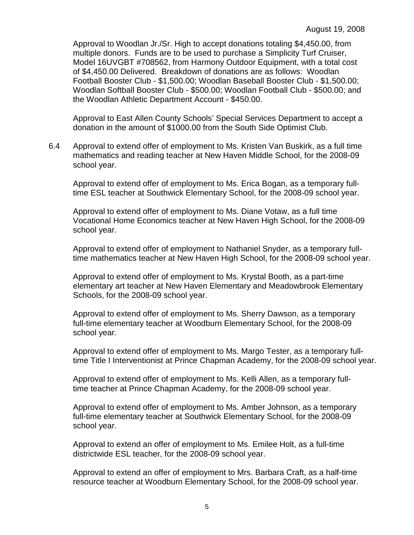Approval to Woodlan Jr./Sr. High to accept donations totaling \$4,450.00, from multiple donors. Funds are to be used to purchase a Simplicity Turf Cruiser, Model 16UVGBT #708562, from Harmony Outdoor Equipment, with a total cost of \$4,450.00 Delivered. Breakdown of donations are as follows: Woodlan Football Booster Club - \$1,500.00; Woodlan Baseball Booster Club - \$1,500.00; Woodlan Softball Booster Club - \$500.00; Woodlan Football Club - \$500.00; and the Woodlan Athletic Department Account - \$450.00.

Approval to East Allen County Schools' Special Services Department to accept a donation in the amount of \$1000.00 from the South Side Optimist Club.

6.4 Approval to extend offer of employment to Ms. Kristen Van Buskirk, as a full time mathematics and reading teacher at New Haven Middle School, for the 2008-09 school year.

Approval to extend offer of employment to Ms. Erica Bogan, as a temporary fulltime ESL teacher at Southwick Elementary School, for the 2008-09 school year.

Approval to extend offer of employment to Ms. Diane Votaw, as a full time Vocational Home Economics teacher at New Haven High School, for the 2008-09 school year.

Approval to extend offer of employment to Nathaniel Snyder, as a temporary fulltime mathematics teacher at New Haven High School, for the 2008-09 school year.

Approval to extend offer of employment to Ms. Krystal Booth, as a part-time elementary art teacher at New Haven Elementary and Meadowbrook Elementary Schools, for the 2008-09 school year.

Approval to extend offer of employment to Ms. Sherry Dawson, as a temporary full-time elementary teacher at Woodburn Elementary School, for the 2008-09 school year.

Approval to extend offer of employment to Ms. Margo Tester, as a temporary fulltime Title I Interventionist at Prince Chapman Academy, for the 2008-09 school year.

Approval to extend offer of employment to Ms. Kelli Allen, as a temporary fulltime teacher at Prince Chapman Academy, for the 2008-09 school year.

 Approval to extend offer of employment to Ms. Amber Johnson, as a temporary full-time elementary teacher at Southwick Elementary School, for the 2008-09 school year.

Approval to extend an offer of employment to Ms. Emilee Holt, as a full-time districtwide ESL teacher, for the 2008-09 school year.

 Approval to extend an offer of employment to Mrs. Barbara Craft, as a half-time resource teacher at Woodburn Elementary School, for the 2008-09 school year.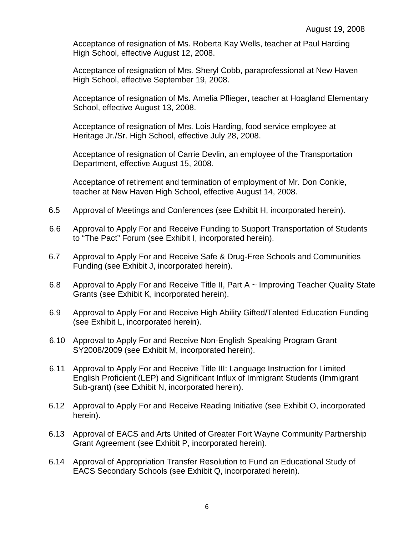Acceptance of resignation of Ms. Roberta Kay Wells, teacher at Paul Harding High School, effective August 12, 2008.

Acceptance of resignation of Mrs. Sheryl Cobb, paraprofessional at New Haven High School, effective September 19, 2008.

Acceptance of resignation of Ms. Amelia Pflieger, teacher at Hoagland Elementary School, effective August 13, 2008.

 Acceptance of resignation of Mrs. Lois Harding, food service employee at Heritage Jr./Sr. High School, effective July 28, 2008.

Acceptance of resignation of Carrie Devlin, an employee of the Transportation Department, effective August 15, 2008.

 Acceptance of retirement and termination of employment of Mr. Don Conkle, teacher at New Haven High School, effective August 14, 2008.

- 6.5 Approval of Meetings and Conferences (see Exhibit H, incorporated herein).
- 6.6 Approval to Apply For and Receive Funding to Support Transportation of Students to "The Pact" Forum (see Exhibit I, incorporated herein).
- 6.7 Approval to Apply For and Receive Safe & Drug-Free Schools and Communities Funding (see Exhibit J, incorporated herein).
- 6.8 Approval to Apply For and Receive Title II, Part A ~ Improving Teacher Quality State Grants (see Exhibit K, incorporated herein).
- 6.9 Approval to Apply For and Receive High Ability Gifted/Talented Education Funding (see Exhibit L, incorporated herein).
- 6.10 Approval to Apply For and Receive Non-English Speaking Program Grant SY2008/2009 (see Exhibit M, incorporated herein).
- 6.11 Approval to Apply For and Receive Title III: Language Instruction for Limited English Proficient (LEP) and Significant Influx of Immigrant Students (Immigrant Sub-grant) (see Exhibit N, incorporated herein).
- 6.12 Approval to Apply For and Receive Reading Initiative (see Exhibit O, incorporated herein).
- 6.13 Approval of EACS and Arts United of Greater Fort Wayne Community Partnership Grant Agreement (see Exhibit P, incorporated herein).
- 6.14 Approval of Appropriation Transfer Resolution to Fund an Educational Study of EACS Secondary Schools (see Exhibit Q, incorporated herein).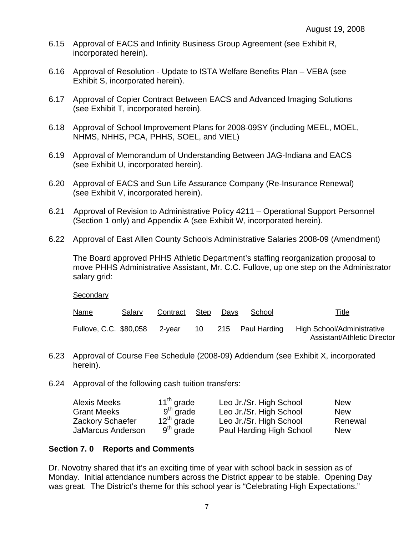- 6.15 Approval of EACS and Infinity Business Group Agreement (see Exhibit R, incorporated herein).
- 6.16 Approval of Resolution Update to ISTA Welfare Benefits Plan VEBA (see Exhibit S, incorporated herein).
- 6.17 Approval of Copier Contract Between EACS and Advanced Imaging Solutions (see Exhibit T, incorporated herein).
- 6.18 Approval of School Improvement Plans for 2008-09SY (including MEEL, MOEL, NHMS, NHHS, PCA, PHHS, SOEL, and VIEL)
- 6.19 Approval of Memorandum of Understanding Between JAG-Indiana and EACS (see Exhibit U, incorporated herein).
- 6.20 Approval of EACS and Sun Life Assurance Company (Re-Insurance Renewal) (see Exhibit V, incorporated herein).
- 6.21 Approval of Revision to Administrative Policy 4211 Operational Support Personnel (Section 1 only) and Appendix A (see Exhibit W, incorporated herein).
- 6.22 Approval of East Allen County Schools Administrative Salaries 2008-09 (Amendment)

The Board approved PHHS Athletic Department's staffing reorganization proposal to move PHHS Administrative Assistant, Mr. C.C. Fullove, up one step on the Administrator salary grid:

**Secondary** 

| <u>Name</u> | Salary | Contract Step | Days | School                                            | <u>Title</u>                                              |
|-------------|--------|---------------|------|---------------------------------------------------|-----------------------------------------------------------|
|             |        |               |      | Fullove, C.C. \$80,058 2-year 10 215 Paul Harding | High School/Administrative<br>Assistant/Athletic Director |

- 6.23 Approval of Course Fee Schedule (2008-09) Addendum (see Exhibit X, incorporated herein).
- 6.24 Approval of the following cash tuition transfers:

| Alexis Meeks            | $11th$ grade    | Leo Jr./Sr. High School  | <b>New</b> |
|-------------------------|-----------------|--------------------------|------------|
| <b>Grant Meeks</b>      | $9th$ grade     | Leo Jr./Sr. High School  | <b>New</b> |
| <b>Zackory Schaefer</b> | $12^{th}$ grade | Leo Jr./Sr. High School  | Renewal    |
| JaMarcus Anderson       | $9th$ grade     | Paul Harding High School | <b>New</b> |

### **Section 7. 0 Reports and Comments**

Dr. Novotny shared that it's an exciting time of year with school back in session as of Monday. Initial attendance numbers across the District appear to be stable. Opening Day was great. The District's theme for this school year is "Celebrating High Expectations."